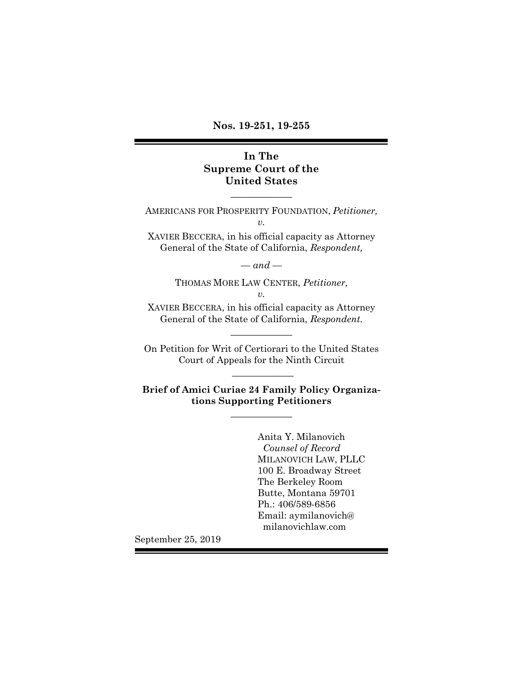**Nos. 19-251, 19-255**

## **In The Supreme Court of the United States**

AMERICANS FOR PROSPERITY FOUNDATION, *Petitioner, v.*  XAVIER BECCERA, in his official capacity as Attorney

 $\overline{\phantom{a}}$  , where  $\overline{\phantom{a}}$ 

General of the State of California, *Respondent,*

 $-$ and  $-$ 

THOMAS MORE LAW CENTER, *Petitioner, v.*

XAVIER BECCERA, in his official capacity as Attorney General of the State of California, *Respondent.* \_\_\_\_\_\_\_\_\_\_\_\_

On Petition for Writ of Certiorari to the United States Court of Appeals for the Ninth Circuit  $\overline{\phantom{a}}$ 

**Brief of Amici Curiae 24 Family Policy Organizations Supporting Petitioners**  $\overline{\phantom{a}}$  , where  $\overline{\phantom{a}}$ 

> Anita Y. Milanovich  *Counsel of Record* MILANOVICH LAW, PLLC 100 E. Broadway Street The Berkeley Room Butte, Montana 59701 Ph.: 406/589-6856 Email: aymilanovich@ milanovichlaw.com

September 25, 2019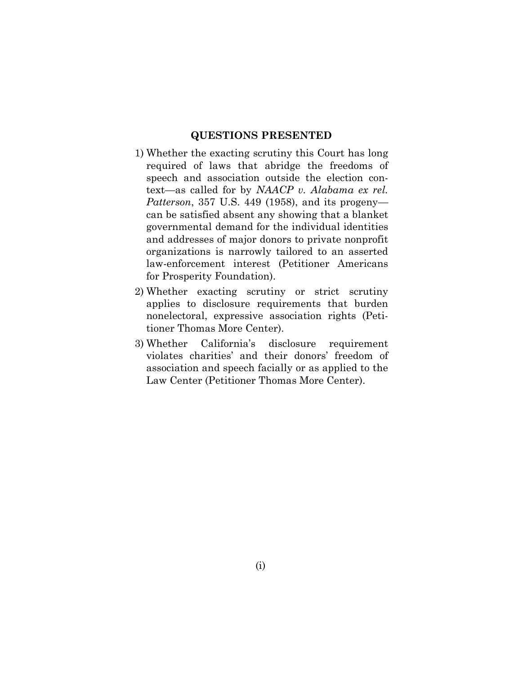#### **QUESTIONS PRESENTED**

- <span id="page-1-0"></span>1) Whether the exacting scrutiny this Court has long required of laws that abridge the freedoms of speech and association outside the election context—as called for by *NAACP v. Alabama ex rel. Patterson*, 357 U.S. 449 (1958), and its progeny can be satisfied absent any showing that a blanket governmental demand for the individual identities and addresses of major donors to private nonprofit organizations is narrowly tailored to an asserted law-enforcement interest (Petitioner Americans for Prosperity Foundation).
- 2) Whether exacting scrutiny or strict scrutiny applies to disclosure requirements that burden nonelectoral, expressive association rights (Petitioner Thomas More Center).
- <span id="page-1-1"></span>3) Whether California's disclosure requirement violates charities' and their donors' freedom of association and speech facially or as applied to the Law Center (Petitioner Thomas More Center).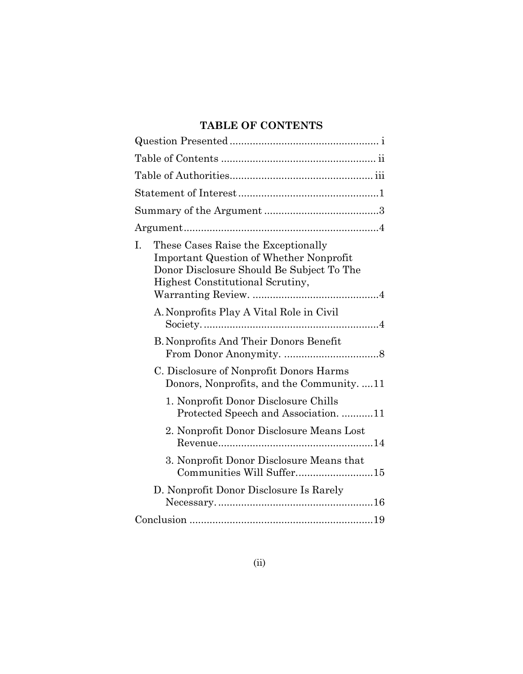# **TABLE OF CONTENTS**

<span id="page-2-0"></span>

| These Cases Raise the Exceptionally<br>I.<br><b>Important Question of Whether Nonprofit</b><br>Donor Disclosure Should Be Subject To The<br>Highest Constitutional Scrutiny, |
|------------------------------------------------------------------------------------------------------------------------------------------------------------------------------|
| A. Nonprofits Play A Vital Role in Civil                                                                                                                                     |
| <b>B. Nonprofits And Their Donors Benefit</b>                                                                                                                                |
| C. Disclosure of Nonprofit Donors Harms<br>Donors, Nonprofits, and the Community11                                                                                           |
| 1. Nonprofit Donor Disclosure Chills<br>Protected Speech and Association11                                                                                                   |
| 2. Nonprofit Donor Disclosure Means Lost                                                                                                                                     |
| 3. Nonprofit Donor Disclosure Means that<br>Communities Will Suffer15                                                                                                        |
| D. Nonprofit Donor Disclosure Is Rarely                                                                                                                                      |
|                                                                                                                                                                              |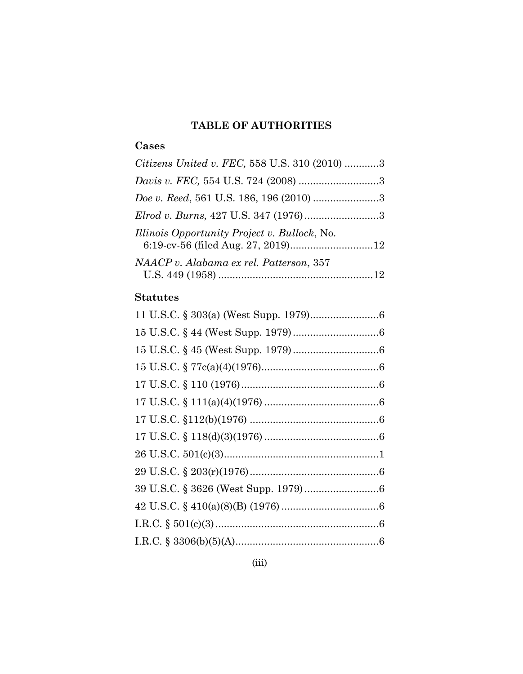# **TABLE OF AUTHORITIES**

# **Cases**

| Citizens United v. FEC, 558 U.S. 310 (2010) 3 |  |
|-----------------------------------------------|--|
| Davis v. FEC, 554 U.S. 724 (2008) 3           |  |
| Doe v. Reed, 561 U.S. 186, 196 (2010) 3       |  |
| Elrod v. Burns, 427 U.S. 347 (1976)3          |  |
| Illinois Opportunity Project v. Bullock, No.  |  |
| NAACP v. Alabama ex rel. Patterson, 357       |  |
|                                               |  |

# **Statutes**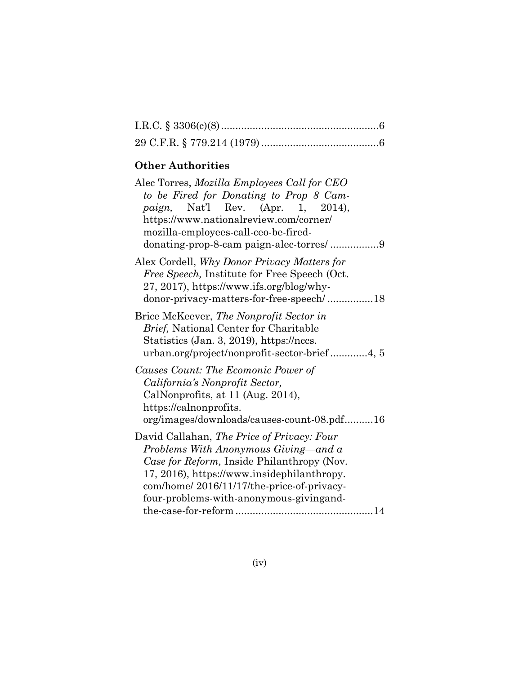# **Other Authorities**

| Alec Torres, Mozilla Employees Call for CEO<br>to be Fired for Donating to Prop 8 Cam-<br><i>paign</i> , Nat'l Rev. (Apr. 1, 2014),<br>https://www.nationalreview.com/corner/<br>mozilla-employees-call-ceo-be-fired-                                                  |
|------------------------------------------------------------------------------------------------------------------------------------------------------------------------------------------------------------------------------------------------------------------------|
| Alex Cordell, Why Donor Privacy Matters for<br>Free Speech, Institute for Free Speech (Oct.<br>27, 2017), https://www.ifs.org/blog/why-<br>donor-privacy-matters-for-free-speech/18                                                                                    |
| Brice McKeever, The Nonprofit Sector in<br>Brief, National Center for Charitable<br>Statistics (Jan. 3, 2019), https://nccs.<br>urban.org/project/nonprofit-sector-brief4, 5                                                                                           |
| Causes Count: The Ecomonic Power of<br>California's Nonprofit Sector,<br>CalNonprofits, at 11 (Aug. 2014),<br>https://calnonprofits.<br>org/images/downloads/causes-count-08.pdf16                                                                                     |
| David Callahan, The Price of Privacy: Four<br>Problems With Anonymous Giving—and a<br>Case for Reform, Inside Philanthropy (Nov.<br>17, 2016), https://www.insidephilanthropy.<br>com/home/2016/11/17/the-price-of-privacy-<br>four-problems-with-anonymous-givingand- |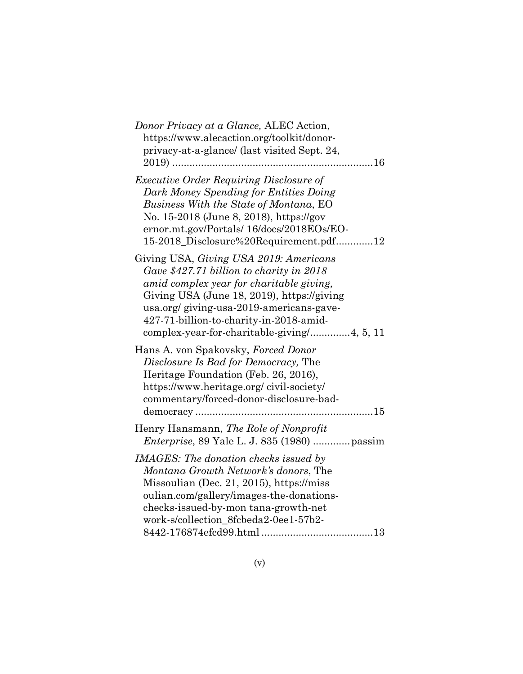| Donor Privacy at a Glance, ALEC Action,<br>https://www.alecaction.org/toolkit/donor-<br>privacy-at-a-glance/ (last visited Sept. 24,<br>16                                                                                                                           |
|----------------------------------------------------------------------------------------------------------------------------------------------------------------------------------------------------------------------------------------------------------------------|
| <b>Executive Order Requiring Disclosure of</b><br>Dark Money Spending for Entities Doing<br>Business With the State of Montana, EO<br>No. 15-2018 (June 8, 2018), https://gov<br>ernor.mt.gov/Portals/ 16/docs/2018EOs/EO-<br>15-2018_Disclosure%20Requirement.pdf12 |
| Giving USA, Giving USA 2019: Americans<br>Gave \$427.71 billion to charity in 2018<br>amid complex year for charitable giving,<br>Giving USA (June 18, 2019), https://giving<br>usa.org/giving-usa-2019-americans-gave-<br>427-71-billion-to-charity-in-2018-amid-   |
| Hans A. von Spakovsky, Forced Donor<br><i>Disclosure Is Bad for Democracy</i> , The<br>Heritage Foundation (Feb. 26, 2016),<br>https://www.heritage.org/civil-society/<br>commentary/forced-donor-disclosure-bad-                                                    |
| Henry Hansmann, The Role of Nonprofit<br><i>Enterprise</i> , 89 Yale L. J. 835 (1980)  passim                                                                                                                                                                        |
| <b>IMAGES:</b> The donation checks issued by<br>Montana Growth Network's donors, The<br>Missoulian (Dec. 21, 2015), https://miss<br>oulian.com/gallery/images-the-donations-<br>checks-issued-by-mon tana-growth-net<br>work-s/collection_8fcbeda2-0ee1-57b2-        |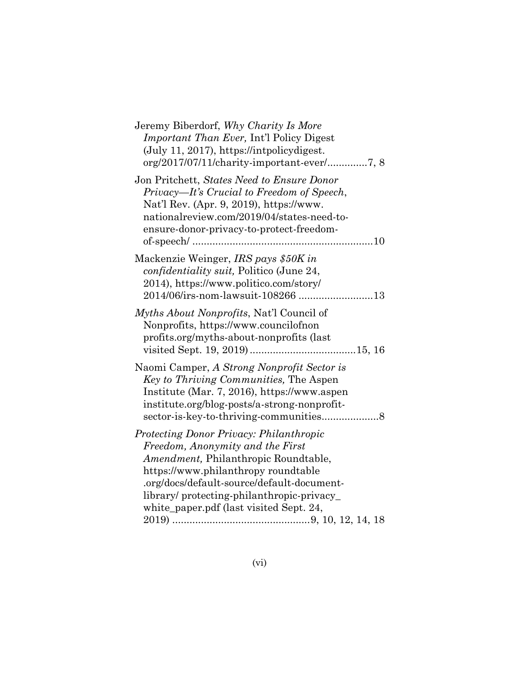| Jeremy Biberdorf, Why Charity Is More<br><i>Important Than Ever, Int'l Policy Digest</i><br>$(July 11, 2017), https://intpolicydigest.$                                                                                                                                                          |
|--------------------------------------------------------------------------------------------------------------------------------------------------------------------------------------------------------------------------------------------------------------------------------------------------|
| Jon Pritchett, States Need to Ensure Donor<br>Privacy—It's Crucial to Freedom of Speech,<br>Nat'l Rev. (Apr. 9, 2019), https://www.<br>nationalreview.com/2019/04/states-need-to-<br>ensure-donor-privacy-to-protect-freedom-                                                                    |
| Mackenzie Weinger, IRS pays \$50K in<br>confidentiality suit, Politico (June 24,<br>2014), https://www.politico.com/story/<br>2014/06/irs-nom-lawsuit-108266 13                                                                                                                                  |
| <i>Myths About Nonprofits, Nat'l Council of</i><br>Nonprofits, https://www.councilofnon<br>profits.org/myths-about-nonprofits (last                                                                                                                                                              |
| Naomi Camper, A Strong Nonprofit Sector is<br>Key to Thriving Communities, The Aspen<br>Institute (Mar. 7, 2016), https://www.aspen<br>institute.org/blog-posts/a-strong-nonprofit-                                                                                                              |
| Protecting Donor Privacy: Philanthropic<br>Freedom, Anonymity and the First<br>Amendment, Philanthropic Roundtable,<br>https://www.philanthropy.roundtable<br>.org/docs/default-source/default-document-<br>library/protecting-philanthropic-privacy_<br>white_paper.pdf (last visited Sept. 24, |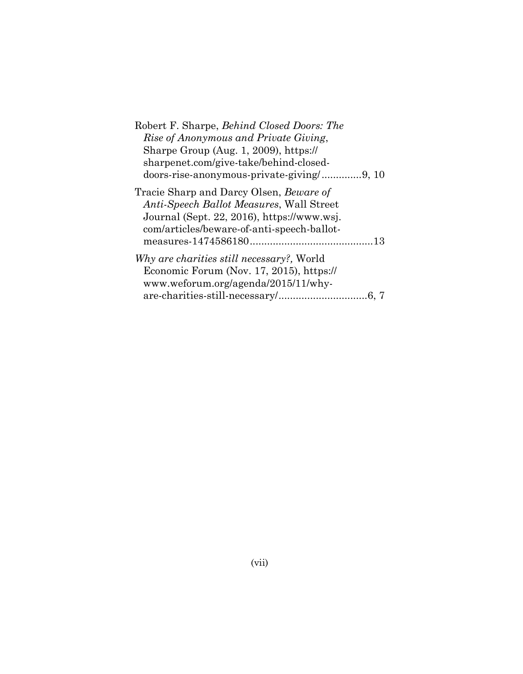| Robert F. Sharpe, Behind Closed Doors: The      |
|-------------------------------------------------|
| Rise of Anonymous and Private Giving,           |
| Sharpe Group (Aug. 1, 2009), https://           |
| sharpenet.com/give-take/behind-closed-          |
| doors-rise-anonymous-private-giving/9, 10       |
| Tracie Sharp and Darcy Olsen, <i>Beware of</i>  |
| <i>Anti-Speech Ballot Measures, Wall Street</i> |
| Journal (Sept. 22, 2016), https://www.wsj.      |
| com/articles/beware-of-anti-speech-ballot-      |
|                                                 |
| Why are charities still necessary?, World       |
| Economic Forum (Nov. 17, 2015), https://        |
| www.weforum.org/agenda/2015/11/why-             |
|                                                 |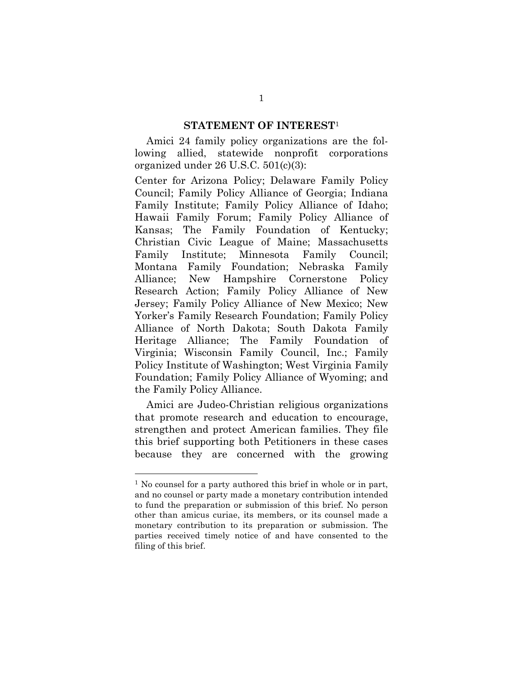#### **STATEMENT OF INTEREST**<sup>1</sup>

Amici 24 family policy organizations are the following allied, statewide nonprofit corporations organized under 26 U.S.C. 501(c)(3):

Center for Arizona Policy; Delaware Family Policy Council; Family Policy Alliance of Georgia; Indiana Family Institute; Family Policy Alliance of Idaho; Hawaii Family Forum; Family Policy Alliance of Kansas; The Family Foundation of Kentucky; Christian Civic League of Maine; Massachusetts Family Institute; Minnesota Family Council; Montana Family Foundation; Nebraska Family Alliance; New Hampshire Cornerstone Policy Research Action; Family Policy Alliance of New Jersey; Family Policy Alliance of New Mexico; New Yorker's Family Research Foundation; Family Policy Alliance of North Dakota; South Dakota Family Heritage Alliance; The Family Foundation of Virginia; Wisconsin Family Council, Inc.; Family Policy Institute of Washington; West Virginia Family Foundation; Family Policy Alliance of Wyoming; and the Family Policy Alliance.

Amici are Judeo-Christian religious organizations that promote research and education to encourage, strengthen and protect American families. They file this brief supporting both Petitioners in these cases because they are concerned with the growing

 $\overline{a}$ 

<sup>&</sup>lt;sup>1</sup> No counsel for a party authored this brief in whole or in part, and no counsel or party made a monetary contribution intended to fund the preparation or submission of this brief. No person other than amicus curiae, its members, or its counsel made a monetary contribution to its preparation or submission. The parties received timely notice of and have consented to the filing of this brief.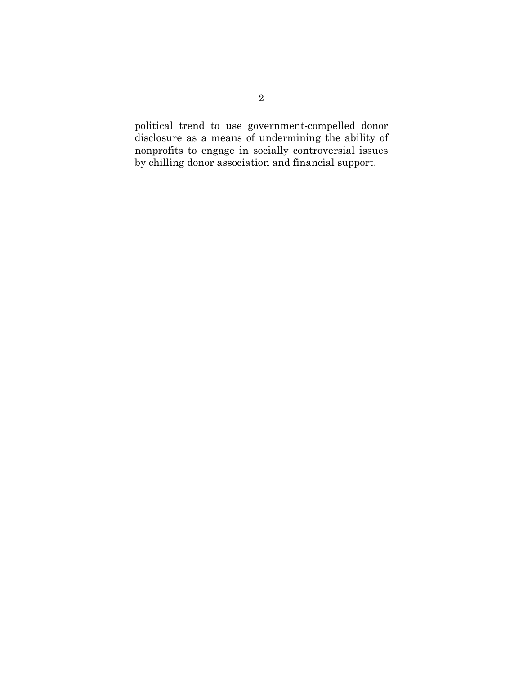political trend to use government-compelled donor disclosure as a means of undermining the ability of nonprofits to engage in socially controversial issues by chilling donor association and financial support.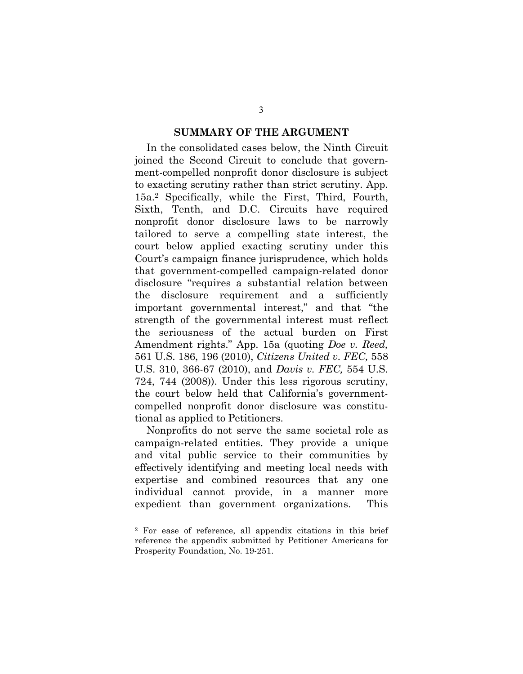#### **SUMMARY OF THE ARGUMENT**

In the consolidated cases below, the Ninth Circuit joined the Second Circuit to conclude that government-compelled nonprofit donor disclosure is subject to exacting scrutiny rather than strict scrutiny. App. 15a.2 Specifically, while the First, Third, Fourth, Sixth, Tenth, and D.C. Circuits have required nonprofit donor disclosure laws to be narrowly tailored to serve a compelling state interest, the court below applied exacting scrutiny under this Court's campaign finance jurisprudence, which holds that government-compelled campaign-related donor disclosure "requires a substantial relation between the disclosure requirement and a sufficiently important governmental interest," and that "the strength of the governmental interest must reflect the seriousness of the actual burden on First Amendment rights." App. 15a (quoting *Doe v. Reed,*  561 U.S. 186, 196 (2010), *Citizens United v. FEC,* 558 U.S. 310, 366-67 (2010), and *Davis v. FEC,* 554 U.S. 724, 744 (2008)). Under this less rigorous scrutiny, the court below held that California's governmentcompelled nonprofit donor disclosure was constitutional as applied to Petitioners.

Nonprofits do not serve the same societal role as campaign-related entities. They provide a unique and vital public service to their communities by effectively identifying and meeting local needs with expertise and combined resources that any one individual cannot provide, in a manner more expedient than government organizations. This

1

<sup>2</sup> For ease of reference, all appendix citations in this brief reference the appendix submitted by Petitioner Americans for Prosperity Foundation, No. 19-251.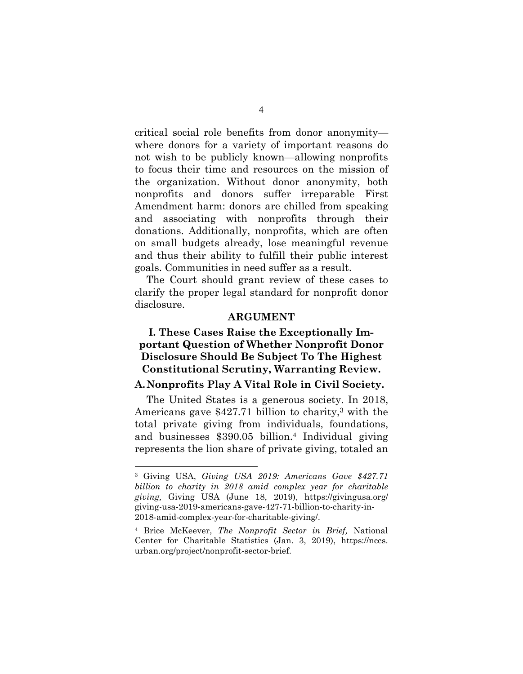critical social role benefits from donor anonymity where donors for a variety of important reasons do not wish to be publicly known—allowing nonprofits to focus their time and resources on the mission of the organization. Without donor anonymity, both nonprofits and donors suffer irreparable First Amendment harm: donors are chilled from speaking and associating with nonprofits through their donations. Additionally, nonprofits, which are often on small budgets already, lose meaningful revenue and thus their ability to fulfill their public interest goals. Communities in need suffer as a result.

The Court should grant review of these cases to clarify the proper legal standard for nonprofit donor disclosure.

#### <span id="page-11-0"></span>**ARGUMENT**

# <span id="page-11-1"></span>**I. These Cases Raise the Exceptionally Important Question of Whether Nonprofit Donor Disclosure Should Be Subject To The Highest Constitutional Scrutiny, Warranting Review.**

## **A. Nonprofits Play A Vital Role in Civil Society.**

The United States is a generous society. In 2018, Americans gave \$427.71 billion to charity,3 with the total private giving from individuals, foundations, and businesses \$390.05 billion.4 Individual giving represents the lion share of private giving, totaled an

<sup>3</sup> Giving USA, *Giving USA 2019: Americans Gave \$427.71 billion to charity in 2018 amid complex year for charitable giving,* Giving USA (June 18, 2019), https://givingusa.org/ giving-usa-2019-americans-gave-427-71-billion-to-charity-in-2018-amid-complex-year-for-charitable-giving/.

<sup>4</sup> Brice McKeever, *The Nonprofit Sector in Brief,* National Center for Charitable Statistics (Jan. 3, 2019), https://nccs. urban.org/project/nonprofit-sector-brief.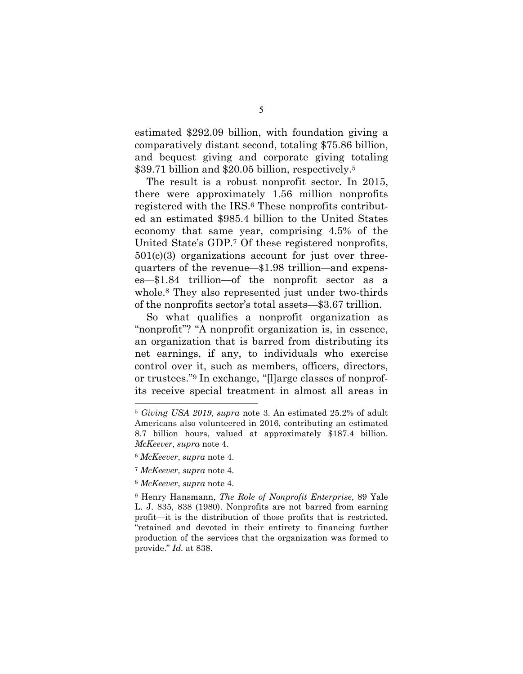estimated \$292.09 billion, with foundation giving a comparatively distant second, totaling \$75.86 billion, and bequest giving and corporate giving totaling \$39.71 billion and \$20.05 billion, respectively.<sup>5</sup>

The result is a robust nonprofit sector. In 2015, there were approximately 1.56 million nonprofits registered with the IRS.6 These nonprofits contributed an estimated \$985.4 billion to the United States economy that same year, comprising 4.5% of the United State's GDP.7 Of these registered nonprofits, 501(c)(3) organizations account for just over threequarters of the revenue—\$1.98 trillion—and expenses—\$1.84 trillion—of the nonprofit sector as a whole.8 They also represented just under two-thirds of the nonprofits sector's total assets—\$3.67 trillion.

So what qualifies a nonprofit organization as "nonprofit"? "A nonprofit organization is, in essence, an organization that is barred from distributing its net earnings, if any, to individuals who exercise control over it, such as members, officers, directors, or trustees."<sup>9</sup> In exchange, "[l]arge classes of nonprofits receive special treatment in almost all areas in

<sup>6</sup> *McKeever*, *supra* note 4.

<sup>5</sup> *Giving USA 2019*, *supra* note 3. An estimated 25.2% of adult Americans also volunteered in 2016, contributing an estimated 8.7 billion hours, valued at approximately \$187.4 billion. *McKeever*, *supra* note 4.

<sup>7</sup> *McKeever*, *supra* note 4.

<sup>8</sup> *McKeever*, *supra* note 4.

<sup>9</sup> Henry Hansmann, *The Role of Nonprofit Enterprise*, 89 Yale L. J. 835, 838 (1980). Nonprofits are not barred from earning profit—it is the distribution of those profits that is restricted, "retained and devoted in their entirety to financing further production of the services that the organization was formed to provide." *Id.* at 838.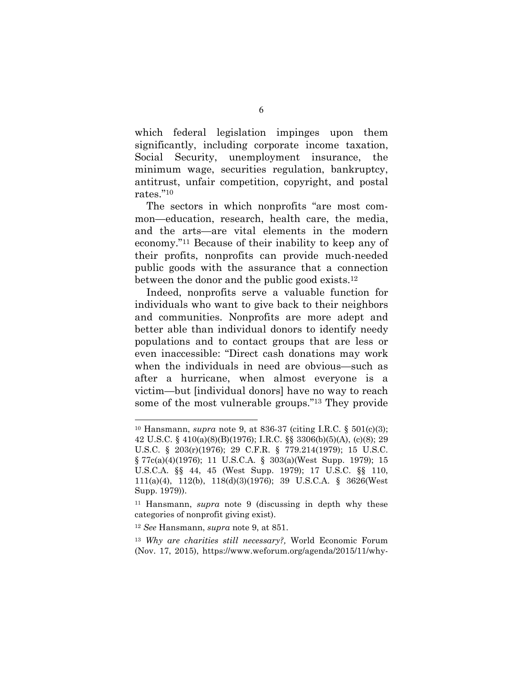which federal legislation impinges upon them significantly, including corporate income taxation, Social Security, unemployment insurance, the minimum wage, securities regulation, bankruptcy, antitrust, unfair competition, copyright, and postal rates."<sup>10</sup>

The sectors in which nonprofits "are most common—education, research, health care, the media, and the arts—are vital elements in the modern economy."11 Because of their inability to keep any of their profits, nonprofits can provide much-needed public goods with the assurance that a connection between the donor and the public good exists.<sup>12</sup>

Indeed, nonprofits serve a valuable function for individuals who want to give back to their neighbors and communities. Nonprofits are more adept and better able than individual donors to identify needy populations and to contact groups that are less or even inaccessible: "Direct cash donations may work when the individuals in need are obvious—such as after a hurricane, when almost everyone is a victim—but [individual donors] have no way to reach some of the most vulnerable groups."13 They provide

<sup>12</sup> *See* Hansmann, *supra* note 9, at 851.

-

<sup>13</sup> *Why are charities still necessary?,* World Economic Forum (Nov. 17, 2015), https://www.weforum.org/agenda/2015/11/why-

<sup>10</sup> Hansmann, *supra* note 9, at 836-37 (citing I.R.C. § 501(c)(3); 42 U.S.C. § 410(a)(8)(B)(1976); I.R.C. §§ 3306(b)(5)(A), (c)(8); 29 U.S.C. § 203(r)(1976); 29 C.F.R. § 779.214(1979); 15 U.S.C. § 77c(a)(4)(1976); 11 U.S.C.A. § 303(a)(West Supp. 1979); 15 U.S.C.A. §§ 44, 45 (West Supp. 1979); 17 U.S.C. §§ 110, 111(a)(4), 112(b), 118(d)(3)(1976); 39 U.S.C.A. § 3626(West Supp. 1979)).

<sup>11</sup> Hansmann, *supra* note 9 (discussing in depth why these categories of nonprofit giving exist).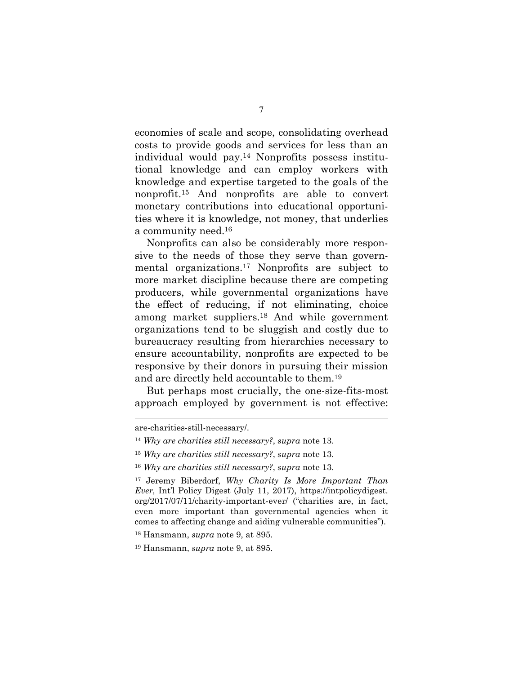economies of scale and scope, consolidating overhead costs to provide goods and services for less than an individual would pay.14 Nonprofits possess institutional knowledge and can employ workers with knowledge and expertise targeted to the goals of the nonprofit.15 And nonprofits are able to convert monetary contributions into educational opportunities where it is knowledge, not money, that underlies a community need.<sup>16</sup>

Nonprofits can also be considerably more responsive to the needs of those they serve than governmental organizations.17 Nonprofits are subject to more market discipline because there are competing producers, while governmental organizations have the effect of reducing, if not eliminating, choice among market suppliers.18 And while government organizations tend to be sluggish and costly due to bureaucracy resulting from hierarchies necessary to ensure accountability, nonprofits are expected to be responsive by their donors in pursuing their mission and are directly held accountable to them.<sup>19</sup>

But perhaps most crucially, the one-size-fits-most approach employed by government is not effective:

l

are-charities-still-necessary/.

<sup>14</sup> *Why are charities still necessary?*, *supra* note 13.

<sup>15</sup> *Why are charities still necessary?*, *supra* note 13.

<sup>16</sup> *Why are charities still necessary?*, *supra* note 13.

<sup>17</sup> Jeremy Biberdorf, *Why Charity Is More Important Than Ever,* Int'l Policy Digest (July 11, 2017), https://intpolicydigest. org/2017/07/11/charity-important-ever/ ("charities are, in fact, even more important than governmental agencies when it comes to affecting change and aiding vulnerable communities").

<sup>18</sup> Hansmann, *supra* note 9, at 895.

<sup>19</sup> Hansmann, *supra* note 9, at 895.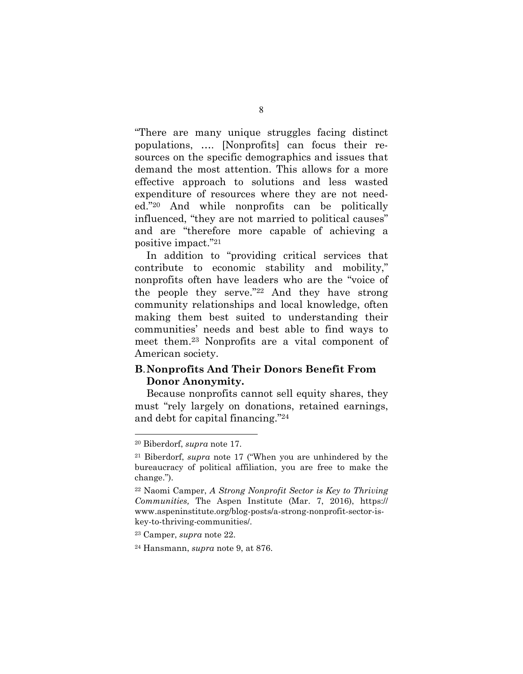"There are many unique struggles facing distinct populations, …. [Nonprofits] can focus their resources on the specific demographics and issues that demand the most attention. This allows for a more effective approach to solutions and less wasted expenditure of resources where they are not needed."20 And while nonprofits can be politically influenced, "they are not married to political causes" and are "therefore more capable of achieving a positive impact."<sup>21</sup>

In addition to "providing critical services that contribute to economic stability and mobility," nonprofits often have leaders who are the "voice of the people they serve."22 And they have strong community relationships and local knowledge, often making them best suited to understanding their communities' needs and best able to find ways to meet them.23 Nonprofits are a vital component of American society.

## **B**. **Nonprofits And Their Donors Benefit From Donor Anonymity.**

Because nonprofits cannot sell equity shares, they must "rely largely on donations, retained earnings, and debt for capital financing."<sup>24</sup>

 $\overline{a}$ 

<sup>20</sup> Biberdorf, *supra* note 17.

<sup>21</sup> Biberdorf, *supra* note 17 ("When you are unhindered by the bureaucracy of political affiliation, you are free to make the change.").

<sup>22</sup> Naomi Camper, *A Strong Nonprofit Sector is Key to Thriving Communities,* The Aspen Institute (Mar. 7, 2016), https:// www.aspeninstitute.org/blog-posts/a-strong-nonprofit-sector-iskey-to-thriving-communities/.

<sup>23</sup> Camper, *supra* note 22.

<sup>24</sup> Hansmann, *supra* note 9, at 876.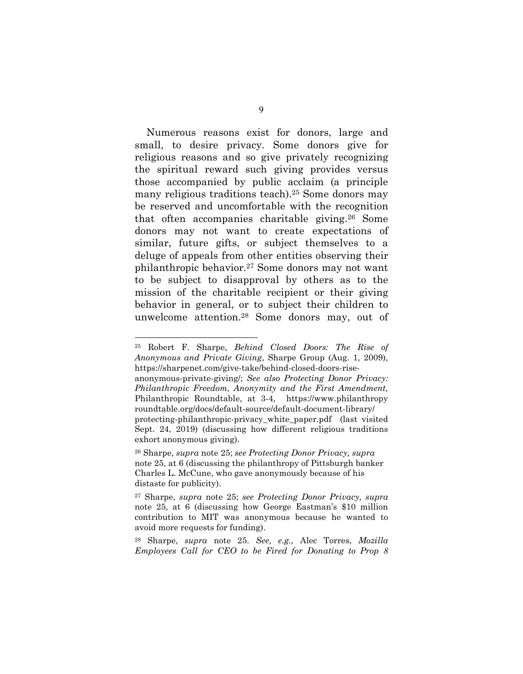Numerous reasons exist for donors, large and small, to desire privacy. Some donors give for religious reasons and so give privately recognizing the spiritual reward such giving provides versus those accompanied by public acclaim (a principle many religious traditions teach).25 Some donors may be reserved and uncomfortable with the recognition that often accompanies charitable giving.26 Some donors may not want to create expectations of similar, future gifts, or subject themselves to a deluge of appeals from other entities observing their philanthropic behavior.27 Some donors may not want to be subject to disapproval by others as to the mission of the charitable recipient or their giving behavior in general, or to subject their children to unwelcome attention.28 Some donors may, out of

<sup>25</sup> Robert F. Sharpe, *Behind Closed Doors: The Rise of Anonymous and Private Giving*, Sharpe Group (Aug. 1, 2009), https://sharpenet.com/give-take/behind-closed-doors-rise-

anonymous-private-giving/; *See also Protecting Donor Privacy: Philanthropic Freedom, Anonymity and the First Amendment,*  Philanthropic Roundtable, at 3-4, https://www.philanthropy roundtable.org/docs/default-source/default-document-library/ protecting-philanthropic-privacy\_white\_paper.pdf (last visited Sept. 24, 2019) (discussing how different religious traditions exhort anonymous giving).

<sup>26</sup> Sharpe, *supra* note 25; *see Protecting Donor Privacy, supra*  note 25, at 6 (discussing the philanthropy of Pittsburgh banker Charles L. McCune, who gave anonymously because of his distaste for publicity).

<sup>27</sup> Sharpe, *supra* note 25; *see Protecting Donor Privacy, supra*  note 25, at 6 (discussing how George Eastman's \$10 million contribution to MIT was anonymous because he wanted to avoid more requests for funding).

<sup>28</sup> Sharpe, *supra* note 25. *See, e.g.,* Alec Torres, *Mozilla Employees Call for CEO to be Fired for Donating to Prop 8*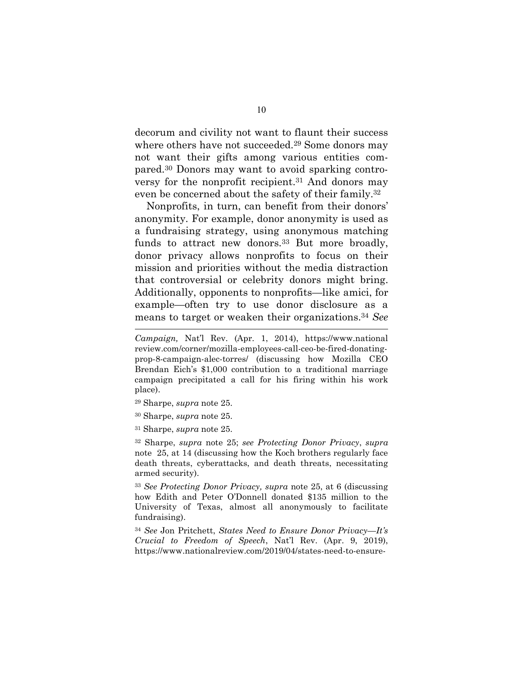decorum and civility not want to flaunt their success where others have not succeeded.<sup>29</sup> Some donors may not want their gifts among various entities compared.30 Donors may want to avoid sparking controversy for the nonprofit recipient.31 And donors may even be concerned about the safety of their family.<sup>32</sup>

Nonprofits, in turn, can benefit from their donors' anonymity. For example, donor anonymity is used as a fundraising strategy, using anonymous matching funds to attract new donors.<sup>33</sup> But more broadly, donor privacy allows nonprofits to focus on their mission and priorities without the media distraction that controversial or celebrity donors might bring. Additionally, opponents to nonprofits—like amici, for example—often try to use donor disclosure as a means to target or weaken their organizations.<sup>34</sup> *See* 

<sup>29</sup> Sharpe, *supra* note 25.

l

- <sup>30</sup> Sharpe, *supra* note 25.
- <sup>31</sup> Sharpe, *supra* note 25.

<sup>32</sup> Sharpe, *supra* note 25; *see Protecting Donor Privacy*, *supra*  note 25, at 14 (discussing how the Koch brothers regularly face death threats, cyberattacks, and death threats, necessitating armed security).

<sup>33</sup> *See Protecting Donor Privacy, supra* note 25, at 6 (discussing how Edith and Peter O'Donnell donated \$135 million to the University of Texas, almost all anonymously to facilitate fundraising).

<sup>34</sup> *See* Jon Pritchett, *States Need to Ensure Donor Privacy—It's Crucial to Freedom of Speech*, Nat'l Rev. (Apr. 9, 2019), https://www.nationalreview.com/2019/04/states-need-to-ensure-

*Campaign,* Nat'l Rev. (Apr. 1, 2014), https://www.national review.com/corner/mozilla-employees-call-ceo-be-fired-donatingprop-8-campaign-alec-torres/ (discussing how Mozilla CEO Brendan Eich's \$1,000 contribution to a traditional marriage campaign precipitated a call for his firing within his work place).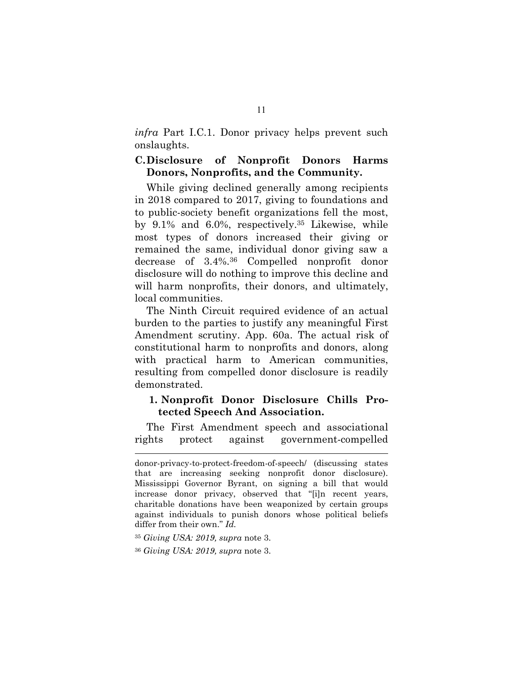*infra* Part I.C.1. Donor privacy helps prevent such onslaughts.

### **C. Disclosure of Nonprofit Donors Harms Donors, Nonprofits, and the Community.**

While giving declined generally among recipients in 2018 compared to 2017, giving to foundations and to public-society benefit organizations fell the most, by 9.1% and 6.0%, respectively.35 Likewise, while most types of donors increased their giving or remained the same, individual donor giving saw a decrease of 3.4%.36 Compelled nonprofit donor disclosure will do nothing to improve this decline and will harm nonprofits, their donors, and ultimately, local communities.

The Ninth Circuit required evidence of an actual burden to the parties to justify any meaningful First Amendment scrutiny. App. 60a. The actual risk of constitutional harm to nonprofits and donors, along with practical harm to American communities, resulting from compelled donor disclosure is readily demonstrated.

## **1. Nonprofit Donor Disclosure Chills Protected Speech And Association.**

The First Amendment speech and associational rights protect against government-compelled

l

donor-privacy-to-protect-freedom-of-speech/ (discussing states that are increasing seeking nonprofit donor disclosure). Mississippi Governor Byrant, on signing a bill that would increase donor privacy, observed that "[i]n recent years, charitable donations have been weaponized by certain groups against individuals to punish donors whose political beliefs differ from their own." *Id.*

<sup>35</sup> *Giving USA: 2019, supra* note 3.

<sup>36</sup> *Giving USA: 2019, supra* note 3.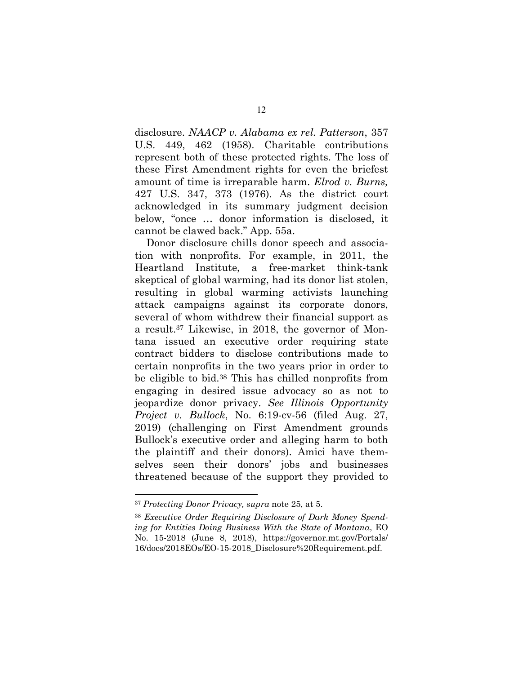disclosure. *NAACP v. Alabama ex rel. Patterson*, 357 U.S. 449, 462 (1958). Charitable contributions represent both of these protected rights. The loss of these First Amendment rights for even the briefest amount of time is irreparable harm. *Elrod v. Burns,* 427 U.S. 347, 373 (1976). As the district court acknowledged in its summary judgment decision below, "once … donor information is disclosed, it cannot be clawed back." App. 55a.

Donor disclosure chills donor speech and association with nonprofits. For example, in 2011, the Heartland Institute, a free-market think-tank skeptical of global warming, had its donor list stolen, resulting in global warming activists launching attack campaigns against its corporate donors, several of whom withdrew their financial support as a result.37 Likewise, in 2018, the governor of Montana issued an executive order requiring state contract bidders to disclose contributions made to certain nonprofits in the two years prior in order to be eligible to bid.38 This has chilled nonprofits from engaging in desired issue advocacy so as not to jeopardize donor privacy. *See Illinois Opportunity Project v. Bullock*, No. 6:19-cv-56 (filed Aug. 27, 2019) (challenging on First Amendment grounds Bullock's executive order and alleging harm to both the plaintiff and their donors). Amici have themselves seen their donors' jobs and businesses threatened because of the support they provided to

<sup>37</sup> *Protecting Donor Privacy, supra* note 25, at 5.

<sup>38</sup> *Executive Order Requiring Disclosure of Dark Money Spending for Entities Doing Business With the State of Montana*, EO No. 15-2018 (June 8, 2018), https://governor.mt.gov/Portals/ 16/docs/2018EOs/EO-15-2018\_Disclosure%20Requirement.pdf.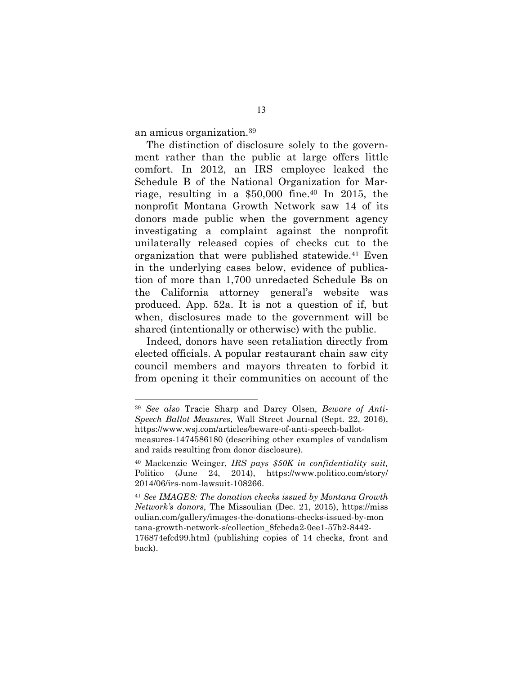an amicus organization.<sup>39</sup>

 $\overline{a}$ 

The distinction of disclosure solely to the government rather than the public at large offers little comfort. In 2012, an IRS employee leaked the Schedule B of the National Organization for Marriage, resulting in a \$50,000 fine.40 In 2015, the nonprofit Montana Growth Network saw 14 of its donors made public when the government agency investigating a complaint against the nonprofit unilaterally released copies of checks cut to the organization that were published statewide.41 Even in the underlying cases below, evidence of publication of more than 1,700 unredacted Schedule Bs on the California attorney general's website was produced. App. 52a. It is not a question of if, but when, disclosures made to the government will be shared (intentionally or otherwise) with the public.

Indeed, donors have seen retaliation directly from elected officials. A popular restaurant chain saw city council members and mayors threaten to forbid it from opening it their communities on account of the

<sup>39</sup> *See also* Tracie Sharp and Darcy Olsen, *Beware of Anti-Speech Ballot Measures*, Wall Street Journal (Sept. 22, 2016), https://www.wsj.com/articles/beware-of-anti-speech-ballot-

measures-1474586180 (describing other examples of vandalism and raids resulting from donor disclosure).

<sup>40</sup> Mackenzie Weinger, *IRS pays \$50K in confidentiality suit,*  Politico (June 24, 2014), https://www.politico.com/story/ 2014/06/irs-nom-lawsuit-108266.

<sup>41</sup> *See IMAGES: The donation checks issued by Montana Growth Network's donors*, The Missoulian (Dec. 21, 2015), https://miss oulian.com/gallery/images-the-donations-checks-issued-by-mon tana-growth-network-s/collection\_8fcbeda2-0ee1-57b2-8442- 176874efcd99.html (publishing copies of 14 checks, front and back).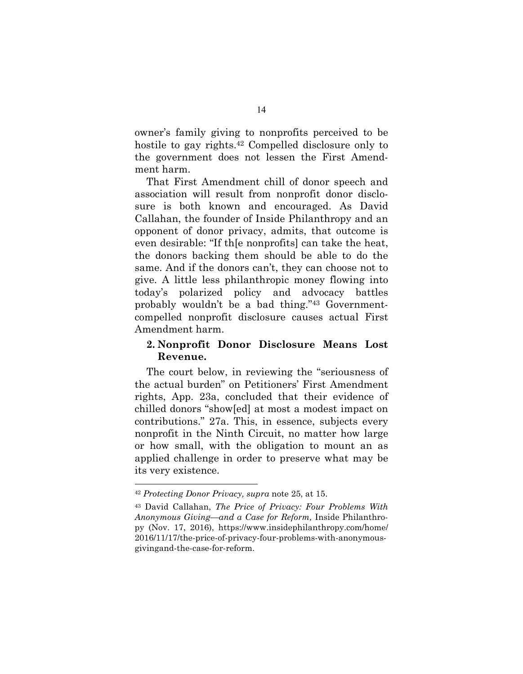owner's family giving to nonprofits perceived to be hostile to gay rights.42 Compelled disclosure only to the government does not lessen the First Amendment harm.

That First Amendment chill of donor speech and association will result from nonprofit donor disclosure is both known and encouraged. As David Callahan, the founder of Inside Philanthropy and an opponent of donor privacy, admits, that outcome is even desirable: "If th[e nonprofits] can take the heat, the donors backing them should be able to do the same. And if the donors can't, they can choose not to give. A little less philanthropic money flowing into today's polarized policy and advocacy battles probably wouldn't be a bad thing."43 Governmentcompelled nonprofit disclosure causes actual First Amendment harm.

### **2. Nonprofit Donor Disclosure Means Lost Revenue.**

The court below, in reviewing the "seriousness of the actual burden" on Petitioners' First Amendment rights, App. 23a, concluded that their evidence of chilled donors "show[ed] at most a modest impact on contributions." 27a. This, in essence, subjects every nonprofit in the Ninth Circuit, no matter how large or how small, with the obligation to mount an as applied challenge in order to preserve what may be its very existence.

<sup>42</sup> *Protecting Donor Privacy, supra* note 25, at 15.

<sup>43</sup> David Callahan, *The Price of Privacy: Four Problems With Anonymous Giving—and a Case for Reform,* Inside Philanthropy (Nov. 17, 2016), https://www.insidephilanthropy.com/home/ 2016/11/17/the-price-of-privacy-four-problems-with-anonymousgivingand-the-case-for-reform.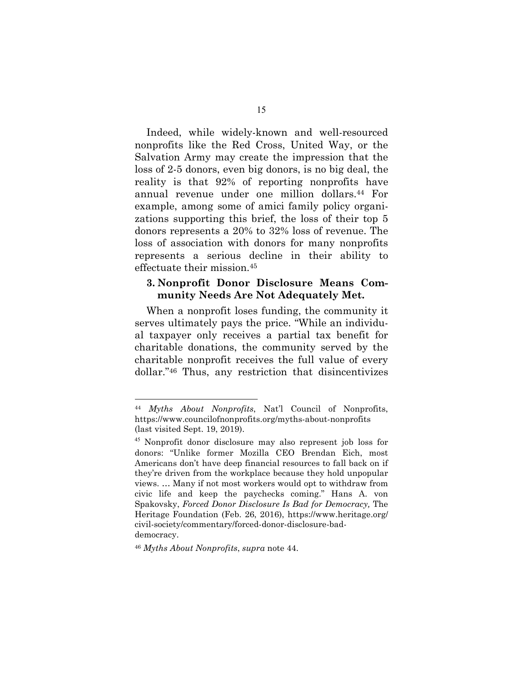Indeed, while widely-known and well-resourced nonprofits like the Red Cross, United Way, or the Salvation Army may create the impression that the loss of 2-5 donors, even big donors, is no big deal, the reality is that 92% of reporting nonprofits have annual revenue under one million dollars.44 For example, among some of amici family policy organizations supporting this brief, the loss of their top 5 donors represents a 20% to 32% loss of revenue. The loss of association with donors for many nonprofits represents a serious decline in their ability to effectuate their mission.<sup>45</sup>

#### **3. Nonprofit Donor Disclosure Means Community Needs Are Not Adequately Met.**

When a nonprofit loses funding, the community it serves ultimately pays the price. "While an individual taxpayer only receives a partial tax benefit for charitable donations, the community served by the charitable nonprofit receives the full value of every dollar."46 Thus, any restriction that disincentivizes

 $\overline{a}$ 

<sup>44</sup> *Myths About Nonprofits*, Nat'l Council of Nonprofits, https://www.councilofnonprofits.org/myths-about-nonprofits (last visited Sept. 19, 2019).

<sup>45</sup> Nonprofit donor disclosure may also represent job loss for donors: "Unlike former Mozilla CEO Brendan Eich, most Americans don't have deep financial resources to fall back on if they're driven from the workplace because they hold unpopular views. … Many if not most workers would opt to withdraw from civic life and keep the paychecks coming." Hans A. von Spakovsky, *Forced Donor Disclosure Is Bad for Democracy,* The Heritage Foundation (Feb. 26, 2016), https://www.heritage.org/ civil-society/commentary/forced-donor-disclosure-baddemocracy.

<sup>46</sup> *Myths About Nonprofits*, *supra* note 44.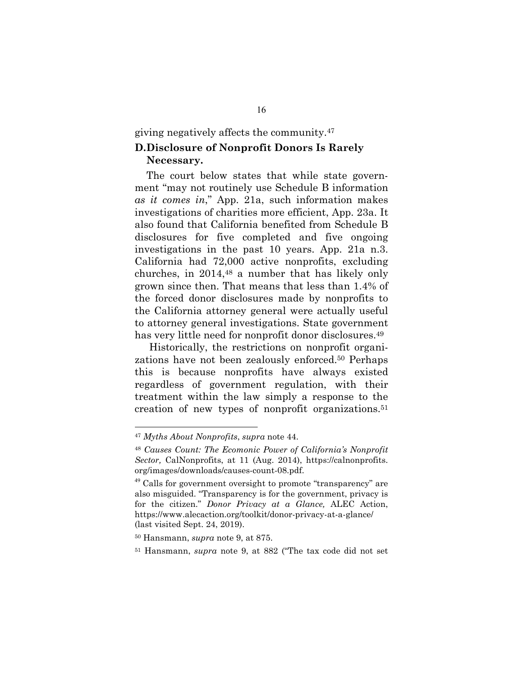giving negatively affects the community.<sup>47</sup>

### **D. Disclosure of Nonprofit Donors Is Rarely Necessary.**

The court below states that while state government "may not routinely use Schedule B information *as it comes in*," App. 21a, such information makes investigations of charities more efficient, App. 23a. It also found that California benefited from Schedule B disclosures for five completed and five ongoing investigations in the past 10 years. App. 21a n.3. California had 72,000 active nonprofits, excluding churches, in 2014,48 a number that has likely only grown since then. That means that less than 1.4% of the forced donor disclosures made by nonprofits to the California attorney general were actually useful to attorney general investigations. State government has very little need for nonprofit donor disclosures.<sup>49</sup>

 Historically, the restrictions on nonprofit organizations have not been zealously enforced.50 Perhaps this is because nonprofits have always existed regardless of government regulation, with their treatment within the law simply a response to the creation of new types of nonprofit organizations.<sup>51</sup>

<sup>47</sup> *Myths About Nonprofits*, *supra* note 44.

<sup>48</sup> *Causes Count: The Ecomonic Power of California's Nonprofit Sector,* CalNonprofits, at 11 (Aug. 2014), https://calnonprofits. org/images/downloads/causes-count-08.pdf.

 $49$  Calls for government oversight to promote "transparency" are also misguided. "Transparency is for the government, privacy is for the citizen." *Donor Privacy at a Glance,* ALEC Action, https://www.alecaction.org/toolkit/donor-privacy-at-a-glance/ (last visited Sept. 24, 2019).

<sup>50</sup> Hansmann, *supra* note 9, at 875.

<sup>51</sup> Hansmann, *supra* note 9, at 882 ("The tax code did not set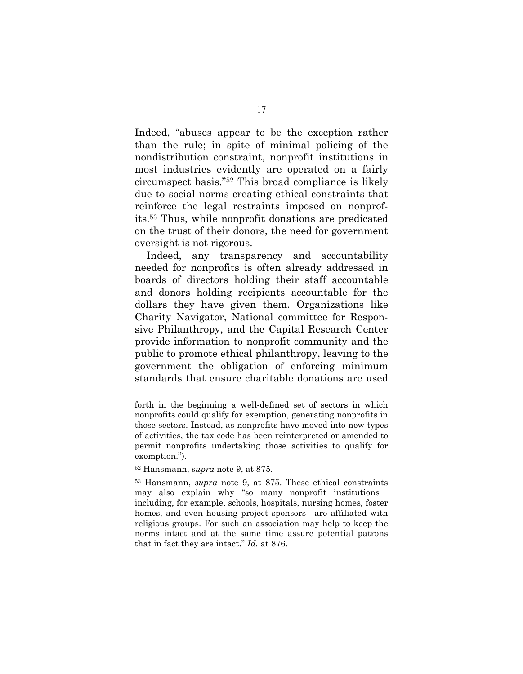Indeed, "abuses appear to be the exception rather than the rule; in spite of minimal policing of the nondistribution constraint, nonprofit institutions in most industries evidently are operated on a fairly circumspect basis."52 This broad compliance is likely due to social norms creating ethical constraints that reinforce the legal restraints imposed on nonprofits.53 Thus, while nonprofit donations are predicated on the trust of their donors, the need for government oversight is not rigorous.

Indeed, any transparency and accountability needed for nonprofits is often already addressed in boards of directors holding their staff accountable and donors holding recipients accountable for the dollars they have given them. Organizations like Charity Navigator, National committee for Responsive Philanthropy, and the Capital Research Center provide information to nonprofit community and the public to promote ethical philanthropy, leaving to the government the obligation of enforcing minimum standards that ensure charitable donations are used

l

<sup>53</sup> Hansmann, *supra* note 9, at 875. These ethical constraints may also explain why "so many nonprofit institutions including, for example, schools, hospitals, nursing homes, foster homes, and even housing project sponsors—are affiliated with religious groups. For such an association may help to keep the norms intact and at the same time assure potential patrons that in fact they are intact." *Id.* at 876.

forth in the beginning a well-defined set of sectors in which nonprofits could qualify for exemption, generating nonprofits in those sectors. Instead, as nonprofits have moved into new types of activities, the tax code has been reinterpreted or amended to permit nonprofits undertaking those activities to qualify for exemption.").

<sup>52</sup> Hansmann, *supra* note 9, at 875.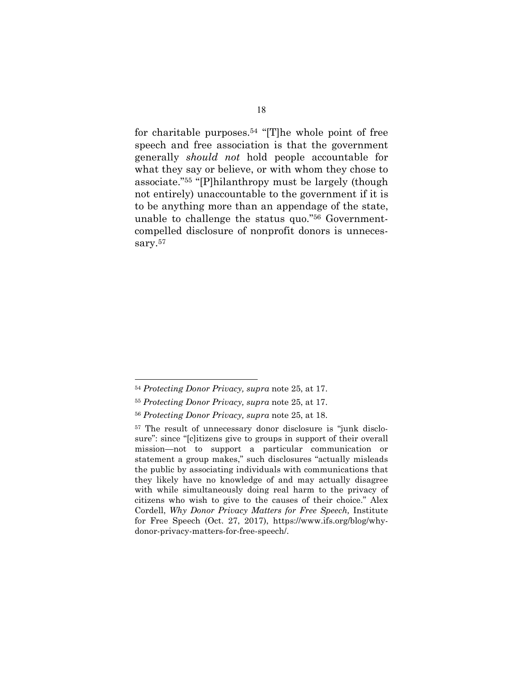for charitable purposes.<sup>54</sup> "[T]he whole point of free speech and free association is that the government generally *should not* hold people accountable for what they say or believe, or with whom they chose to associate."55 "[P]hilanthropy must be largely (though not entirely) unaccountable to the government if it is to be anything more than an appendage of the state, unable to challenge the status quo."56 Governmentcompelled disclosure of nonprofit donors is unnecessary.<sup>57</sup>

<sup>54</sup> *Protecting Donor Privacy, supra* note 25, at 17.

<sup>55</sup> *Protecting Donor Privacy, supra* note 25, at 17.

<sup>56</sup> *Protecting Donor Privacy, supra* note 25, at 18.

<sup>57</sup> The result of unnecessary donor disclosure is "junk disclosure": since "[c]itizens give to groups in support of their overall mission—not to support a particular communication or statement a group makes," such disclosures "actually misleads the public by associating individuals with communications that they likely have no knowledge of and may actually disagree with while simultaneously doing real harm to the privacy of citizens who wish to give to the causes of their choice." Alex Cordell, *Why Donor Privacy Matters for Free Speech,* Institute for Free Speech (Oct. 27, 2017), https://www.ifs.org/blog/whydonor-privacy-matters-for-free-speech/.